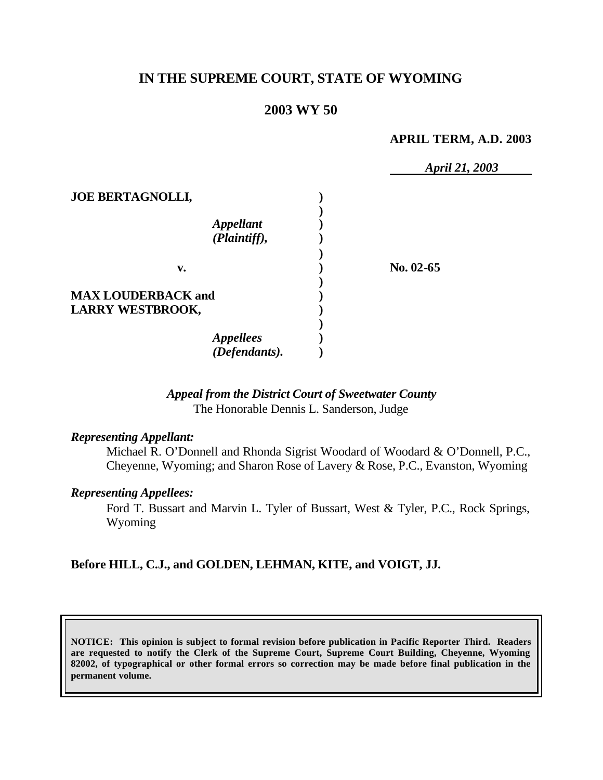# **IN THE SUPREME COURT, STATE OF WYOMING**

## **2003 WY 50**

#### **APRIL TERM, A.D. 2003**

|                           | April 21, 2003 |
|---------------------------|----------------|
| <b>JOE BERTAGNOLLI,</b>   |                |
|                           |                |
| <b>Appellant</b>          |                |
| (Plaintiff),              |                |
|                           |                |
| v.                        | No. $02-65$    |
| <b>MAX LOUDERBACK and</b> |                |
| <b>LARRY WESTBROOK,</b>   |                |
|                           |                |
| <b>Appellees</b>          |                |
| (Defendants).             |                |

### *Appeal from the District Court of Sweetwater County* The Honorable Dennis L. Sanderson, Judge

#### *Representing Appellant:*

Michael R. O'Donnell and Rhonda Sigrist Woodard of Woodard & O'Donnell, P.C., Cheyenne, Wyoming; and Sharon Rose of Lavery & Rose, P.C., Evanston, Wyoming

#### *Representing Appellees:*

Ford T. Bussart and Marvin L. Tyler of Bussart, West & Tyler, P.C., Rock Springs, Wyoming

#### **Before HILL, C.J., and GOLDEN, LEHMAN, KITE, and VOIGT, JJ.**

**NOTICE: This opinion is subject to formal revision before publication in Pacific Reporter Third. Readers are requested to notify the Clerk of the Supreme Court, Supreme Court Building, Cheyenne, Wyoming 82002, of typographical or other formal errors so correction may be made before final publication in the permanent volume.**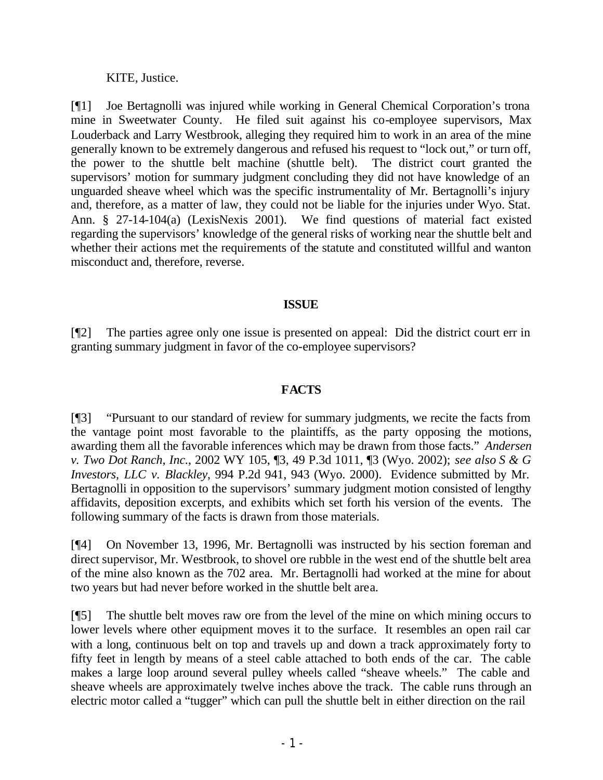KITE, Justice.

[¶1] Joe Bertagnolli was injured while working in General Chemical Corporation's trona mine in Sweetwater County. He filed suit against his co-employee supervisors, Max Louderback and Larry Westbrook, alleging they required him to work in an area of the mine generally known to be extremely dangerous and refused his request to "lock out," or turn off, the power to the shuttle belt machine (shuttle belt). The district court granted the supervisors' motion for summary judgment concluding they did not have knowledge of an unguarded sheave wheel which was the specific instrumentality of Mr. Bertagnolli's injury and, therefore, as a matter of law, they could not be liable for the injuries under Wyo. Stat. Ann. § 27-14-104(a) (LexisNexis 2001). We find questions of material fact existed regarding the supervisors' knowledge of the general risks of working near the shuttle belt and whether their actions met the requirements of the statute and constituted willful and wanton misconduct and, therefore, reverse.

### **ISSUE**

[¶2] The parties agree only one issue is presented on appeal: Did the district court err in granting summary judgment in favor of the co-employee supervisors?

### **FACTS**

[¶3] "Pursuant to our standard of review for summary judgments, we recite the facts from the vantage point most favorable to the plaintiffs, as the party opposing the motions, awarding them all the favorable inferences which may be drawn from those facts." *Andersen v. Two Dot Ranch, Inc.*, 2002 WY 105, ¶3, 49 P.3d 1011, ¶3 (Wyo. 2002); *see also S & G Investors, LLC v. Blackley*, 994 P.2d 941, 943 (Wyo. 2000). Evidence submitted by Mr. Bertagnolli in opposition to the supervisors' summary judgment motion consisted of lengthy affidavits, deposition excerpts, and exhibits which set forth his version of the events. The following summary of the facts is drawn from those materials.

[¶4] On November 13, 1996, Mr. Bertagnolli was instructed by his section foreman and direct supervisor, Mr. Westbrook, to shovel ore rubble in the west end of the shuttle belt area of the mine also known as the 702 area. Mr. Bertagnolli had worked at the mine for about two years but had never before worked in the shuttle belt area.

[¶5] The shuttle belt moves raw ore from the level of the mine on which mining occurs to lower levels where other equipment moves it to the surface. It resembles an open rail car with a long, continuous belt on top and travels up and down a track approximately forty to fifty feet in length by means of a steel cable attached to both ends of the car. The cable makes a large loop around several pulley wheels called "sheave wheels." The cable and sheave wheels are approximately twelve inches above the track. The cable runs through an electric motor called a "tugger" which can pull the shuttle belt in either direction on the rail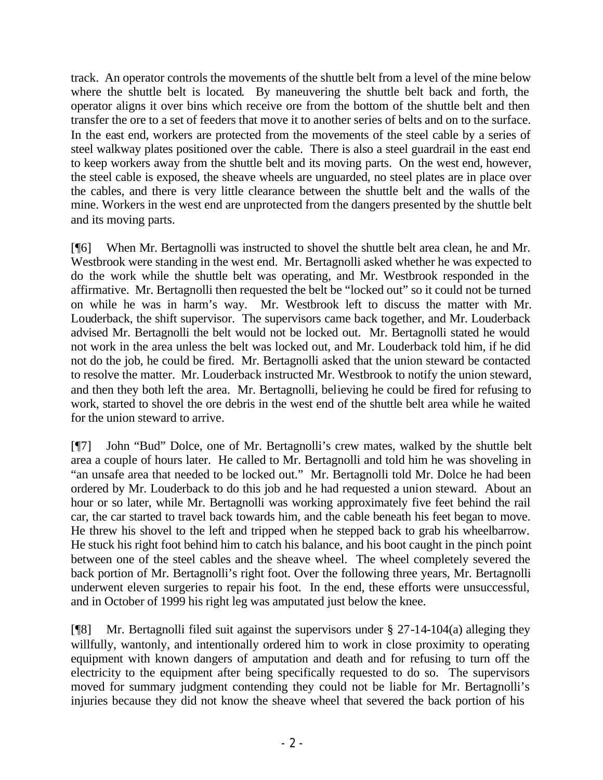track. An operator controls the movements of the shuttle belt from a level of the mine below where the shuttle belt is located. By maneuvering the shuttle belt back and forth, the operator aligns it over bins which receive ore from the bottom of the shuttle belt and then transfer the ore to a set of feeders that move it to another series of belts and on to the surface. In the east end, workers are protected from the movements of the steel cable by a series of steel walkway plates positioned over the cable. There is also a steel guardrail in the east end to keep workers away from the shuttle belt and its moving parts. On the west end, however, the steel cable is exposed, the sheave wheels are unguarded, no steel plates are in place over the cables, and there is very little clearance between the shuttle belt and the walls of the mine. Workers in the west end are unprotected from the dangers presented by the shuttle belt and its moving parts.

[¶6] When Mr. Bertagnolli was instructed to shovel the shuttle belt area clean, he and Mr. Westbrook were standing in the west end. Mr. Bertagnolli asked whether he was expected to do the work while the shuttle belt was operating, and Mr. Westbrook responded in the affirmative. Mr. Bertagnolli then requested the belt be "locked out" so it could not be turned on while he was in harm's way. Mr. Westbrook left to discuss the matter with Mr. Louderback, the shift supervisor. The supervisors came back together, and Mr. Louderback advised Mr. Bertagnolli the belt would not be locked out. Mr. Bertagnolli stated he would not work in the area unless the belt was locked out, and Mr. Louderback told him, if he did not do the job, he could be fired. Mr. Bertagnolli asked that the union steward be contacted to resolve the matter. Mr. Louderback instructed Mr. Westbrook to notify the union steward, and then they both left the area. Mr. Bertagnolli, believing he could be fired for refusing to work, started to shovel the ore debris in the west end of the shuttle belt area while he waited for the union steward to arrive.

[¶7] John "Bud" Dolce, one of Mr. Bertagnolli's crew mates, walked by the shuttle belt area a couple of hours later. He called to Mr. Bertagnolli and told him he was shoveling in "an unsafe area that needed to be locked out." Mr. Bertagnolli told Mr. Dolce he had been ordered by Mr. Louderback to do this job and he had requested a union steward. About an hour or so later, while Mr. Bertagnolli was working approximately five feet behind the rail car, the car started to travel back towards him, and the cable beneath his feet began to move. He threw his shovel to the left and tripped when he stepped back to grab his wheelbarrow. He stuck his right foot behind him to catch his balance, and his boot caught in the pinch point between one of the steel cables and the sheave wheel. The wheel completely severed the back portion of Mr. Bertagnolli's right foot. Over the following three years, Mr. Bertagnolli underwent eleven surgeries to repair his foot. In the end, these efforts were unsuccessful, and in October of 1999 his right leg was amputated just below the knee.

[¶8] Mr. Bertagnolli filed suit against the supervisors under § 27-14-104(a) alleging they willfully, wantonly, and intentionally ordered him to work in close proximity to operating equipment with known dangers of amputation and death and for refusing to turn off the electricity to the equipment after being specifically requested to do so. The supervisors moved for summary judgment contending they could not be liable for Mr. Bertagnolli's injuries because they did not know the sheave wheel that severed the back portion of his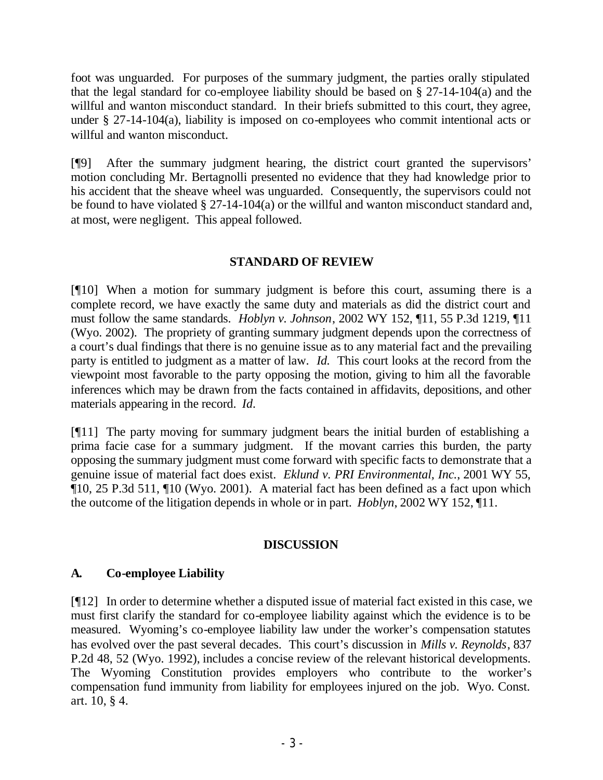foot was unguarded. For purposes of the summary judgment, the parties orally stipulated that the legal standard for co-employee liability should be based on § 27-14-104(a) and the willful and wanton misconduct standard. In their briefs submitted to this court, they agree, under § 27-14-104(a), liability is imposed on co-employees who commit intentional acts or willful and wanton misconduct.

[¶9] After the summary judgment hearing, the district court granted the supervisors' motion concluding Mr. Bertagnolli presented no evidence that they had knowledge prior to his accident that the sheave wheel was unguarded. Consequently, the supervisors could not be found to have violated § 27-14-104(a) or the willful and wanton misconduct standard and, at most, were negligent. This appeal followed.

# **STANDARD OF REVIEW**

[¶10] When a motion for summary judgment is before this court, assuming there is a complete record, we have exactly the same duty and materials as did the district court and must follow the same standards. *Hoblyn v. Johnson*, 2002 WY 152, ¶11, 55 P.3d 1219, ¶11 (Wyo. 2002). The propriety of granting summary judgment depends upon the correctness of a court's dual findings that there is no genuine issue as to any material fact and the prevailing party is entitled to judgment as a matter of law. *Id.* This court looks at the record from the viewpoint most favorable to the party opposing the motion, giving to him all the favorable inferences which may be drawn from the facts contained in affidavits, depositions, and other materials appearing in the record. *Id.*

[¶11] The party moving for summary judgment bears the initial burden of establishing a prima facie case for a summary judgment. If the movant carries this burden, the party opposing the summary judgment must come forward with specific facts to demonstrate that a genuine issue of material fact does exist. *Eklund v. PRI Environmental, Inc.*, 2001 WY 55, ¶10, 25 P.3d 511, ¶10 (Wyo. 2001). A material fact has been defined as a fact upon which the outcome of the litigation depends in whole or in part. *Hoblyn*, 2002 WY 152, ¶11.

## **DISCUSSION**

# **A. Co-employee Liability**

[¶12] In order to determine whether a disputed issue of material fact existed in this case, we must first clarify the standard for co-employee liability against which the evidence is to be measured. Wyoming's co-employee liability law under the worker's compensation statutes has evolved over the past several decades. This court's discussion in *Mills v. Reynolds*, 837 P.2d 48, 52 (Wyo. 1992), includes a concise review of the relevant historical developments. The Wyoming Constitution provides employers who contribute to the worker's compensation fund immunity from liability for employees injured on the job. Wyo. Const. art. 10, § 4.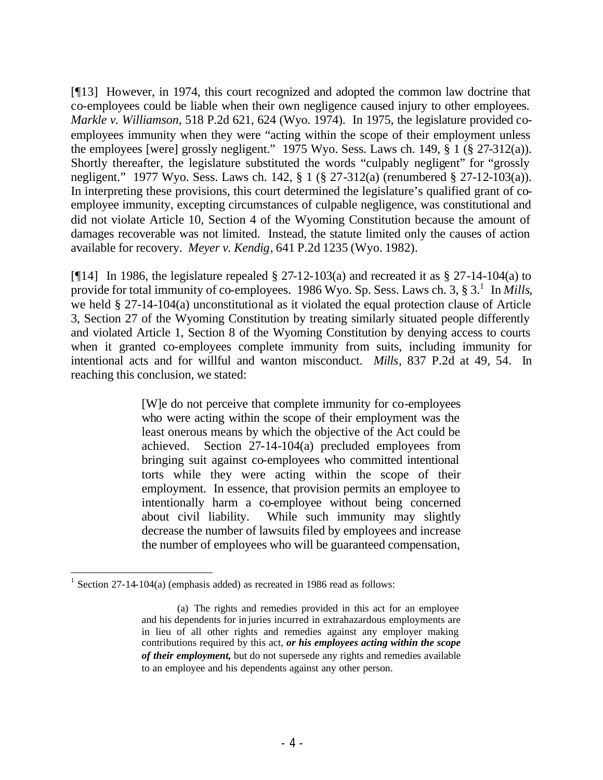[¶13] However, in 1974, this court recognized and adopted the common law doctrine that co-employees could be liable when their own negligence caused injury to other employees. *Markle v. Williamson*, 518 P.2d 621, 624 (Wyo. 1974). In 1975, the legislature provided coemployees immunity when they were "acting within the scope of their employment unless the employees [were] grossly negligent." 1975 Wyo. Sess. Laws ch. 149,  $\S 1$  ( $\S 27-312(a)$ ). Shortly thereafter, the legislature substituted the words "culpably negligent" for "grossly negligent." 1977 Wyo. Sess. Laws ch. 142, § 1 (§ 27-312(a) (renumbered § 27-12-103(a)). In interpreting these provisions, this court determined the legislature's qualified grant of coemployee immunity, excepting circumstances of culpable negligence, was constitutional and did not violate Article 10, Section 4 of the Wyoming Constitution because the amount of damages recoverable was not limited. Instead, the statute limited only the causes of action available for recovery. *Meyer v. Kendig*, 641 P.2d 1235 (Wyo. 1982).

[ $[14]$  In 1986, the legislature repealed § 27-12-103(a) and recreated it as § 27-14-104(a) to provide for total immunity of co-employees. 1986 Wyo. Sp. Sess. Laws ch. 3, § 3.<sup>1</sup> In *Mills*, we held § 27-14-104(a) unconstitutional as it violated the equal protection clause of Article 3, Section 27 of the Wyoming Constitution by treating similarly situated people differently and violated Article 1, Section 8 of the Wyoming Constitution by denying access to courts when it granted co-employees complete immunity from suits, including immunity for intentional acts and for willful and wanton misconduct. *Mills*, 837 P.2d at 49, 54.In reaching this conclusion, we stated:

> [W]e do not perceive that complete immunity for co-employees who were acting within the scope of their employment was the least onerous means by which the objective of the Act could be achieved. Section 27-14-104(a) precluded employees from bringing suit against co-employees who committed intentional torts while they were acting within the scope of their employment. In essence, that provision permits an employee to intentionally harm a co-employee without being concerned about civil liability. While such immunity may slightly decrease the number of lawsuits filed by employees and increase the number of employees who will be guaranteed compensation,

 <sup>1</sup> Section 27-14-104(a) (emphasis added) as recreated in 1986 read as follows:

<sup>(</sup>a) The rights and remedies provided in this act for an employee and his dependents for in juries incurred in extrahazardous employments are in lieu of all other rights and remedies against any employer making contributions required by this act, *or his employees acting within the scope of their employment,* but do not supersede any rights and remedies available to an employee and his dependents against any other person.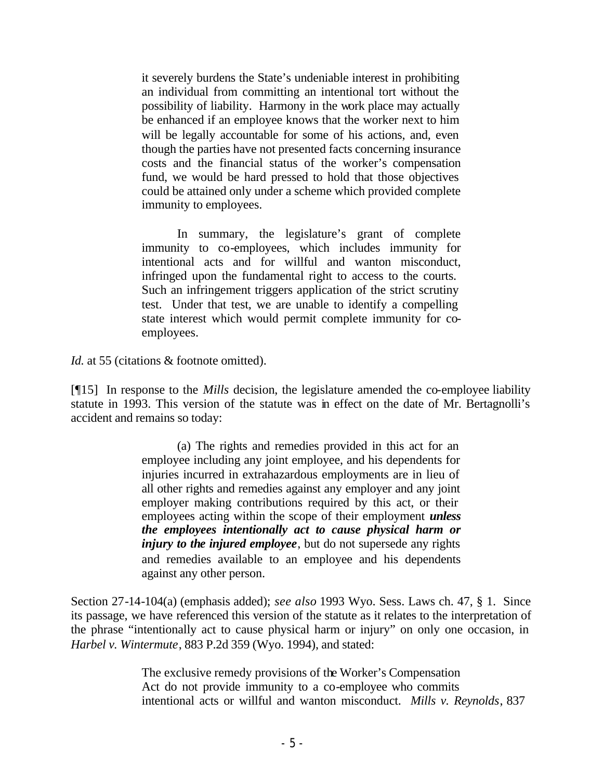it severely burdens the State's undeniable interest in prohibiting an individual from committing an intentional tort without the possibility of liability. Harmony in the work place may actually be enhanced if an employee knows that the worker next to him will be legally accountable for some of his actions, and, even though the parties have not presented facts concerning insurance costs and the financial status of the worker's compensation fund, we would be hard pressed to hold that those objectives could be attained only under a scheme which provided complete immunity to employees.

In summary, the legislature's grant of complete immunity to co-employees, which includes immunity for intentional acts and for willful and wanton misconduct, infringed upon the fundamental right to access to the courts. Such an infringement triggers application of the strict scrutiny test. Under that test, we are unable to identify a compelling state interest which would permit complete immunity for coemployees.

*Id.* at 55 (citations & footnote omitted).

[¶15] In response to the *Mills* decision, the legislature amended the co-employee liability statute in 1993. This version of the statute was in effect on the date of Mr. Bertagnolli's accident and remains so today:

> (a) The rights and remedies provided in this act for an employee including any joint employee, and his dependents for injuries incurred in extrahazardous employments are in lieu of all other rights and remedies against any employer and any joint employer making contributions required by this act, or their employees acting within the scope of their employment *unless the employees intentionally act to cause physical harm or injury to the injured employee*, but do not supersede any rights and remedies available to an employee and his dependents against any other person.

Section 27-14-104(a) (emphasis added); *see also* 1993 Wyo. Sess. Laws ch. 47, § 1. Since its passage, we have referenced this version of the statute as it relates to the interpretation of the phrase "intentionally act to cause physical harm or injury" on only one occasion, in *Harbel v. Wintermute*, 883 P.2d 359 (Wyo. 1994), and stated:

> The exclusive remedy provisions of the Worker's Compensation Act do not provide immunity to a co-employee who commits intentional acts or willful and wanton misconduct. *Mills v. Reynolds*, 837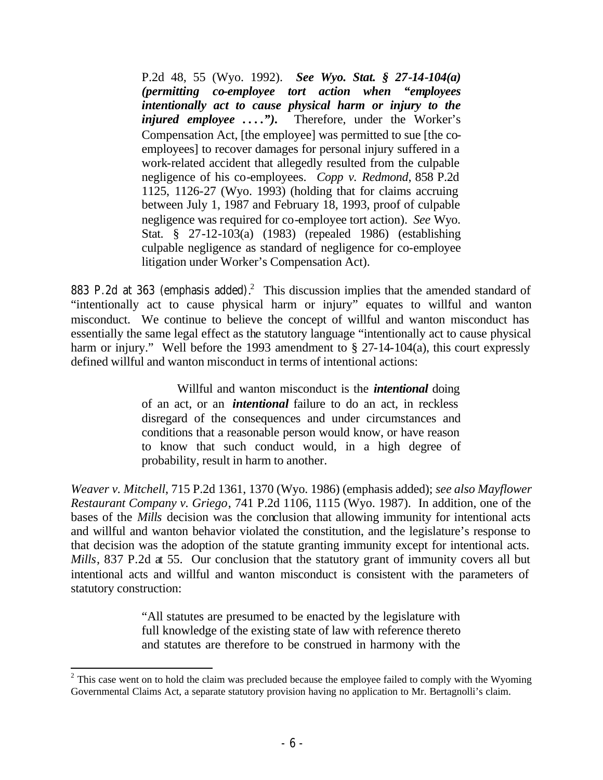P.2d 48, 55 (Wyo. 1992). *See Wyo. Stat. § 27-14-104(a) (permitting co-employee tort action when "employees intentionally act to cause physical harm or injury to the injured employee ....*"). Therefore, under the Worker's Compensation Act, [the employee] was permitted to sue [the coemployees] to recover damages for personal injury suffered in a work-related accident that allegedly resulted from the culpable negligence of his co-employees. *Copp v. Redmond*, 858 P.2d 1125, 1126-27 (Wyo. 1993) (holding that for claims accruing between July 1, 1987 and February 18, 1993, proof of culpable negligence was required for co-employee tort action). *See* Wyo. Stat. § 27-12-103(a) (1983) (repealed 1986) (establishing culpable negligence as standard of negligence for co-employee litigation under Worker's Compensation Act).

883 P.2d at 363 (emphasis added).<sup>2</sup> This discussion implies that the amended standard of "intentionally act to cause physical harm or injury" equates to willful and wanton misconduct. We continue to believe the concept of willful and wanton misconduct has essentially the same legal effect as the statutory language "intentionally act to cause physical harm or injury." Well before the 1993 amendment to  $\S$  27-14-104(a), this court expressly defined willful and wanton misconduct in terms of intentional actions:

> Willful and wanton misconduct is the *intentional* doing of an act, or an *intentional* failure to do an act, in reckless disregard of the consequences and under circumstances and conditions that a reasonable person would know, or have reason to know that such conduct would, in a high degree of probability, result in harm to another.

*Weaver v. Mitchell*, 715 P.2d 1361, 1370 (Wyo. 1986) (emphasis added); *see also Mayflower Restaurant Company v. Griego*, 741 P.2d 1106, 1115 (Wyo. 1987). In addition, one of the bases of the *Mills* decision was the conclusion that allowing immunity for intentional acts and willful and wanton behavior violated the constitution, and the legislature's response to that decision was the adoption of the statute granting immunity except for intentional acts. *Mills*, 837 P.2d at 55. Our conclusion that the statutory grant of immunity covers all but intentional acts and willful and wanton misconduct is consistent with the parameters of statutory construction:

> "All statutes are presumed to be enacted by the legislature with full knowledge of the existing state of law with reference thereto and statutes are therefore to be construed in harmony with the

 $2<sup>2</sup>$  This case went on to hold the claim was precluded because the employee failed to comply with the Wyoming Governmental Claims Act, a separate statutory provision having no application to Mr. Bertagnolli's claim.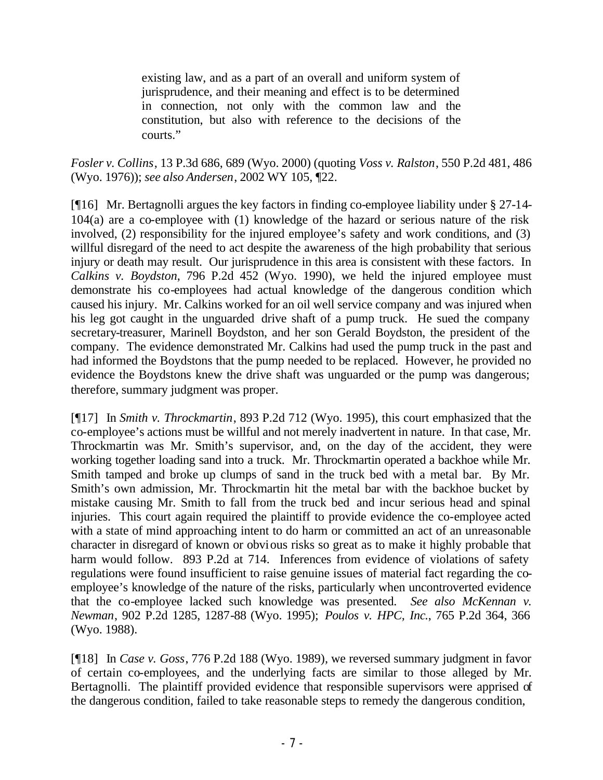existing law, and as a part of an overall and uniform system of jurisprudence, and their meaning and effect is to be determined in connection, not only with the common law and the constitution, but also with reference to the decisions of the courts."

*Fosler v. Collins*, 13 P.3d 686, 689 (Wyo. 2000) (quoting *Voss v. Ralston*, 550 P.2d 481, 486 (Wyo. 1976)); *see also Andersen*, 2002 WY 105, ¶22.

[¶16] Mr. Bertagnolli argues the key factors in finding co-employee liability under § 27-14- 104(a) are a co-employee with (1) knowledge of the hazard or serious nature of the risk involved, (2) responsibility for the injured employee's safety and work conditions, and (3) willful disregard of the need to act despite the awareness of the high probability that serious injury or death may result. Our jurisprudence in this area is consistent with these factors. In *Calkins v. Boydston*, 796 P.2d 452 (Wyo. 1990), we held the injured employee must demonstrate his co-employees had actual knowledge of the dangerous condition which caused his injury. Mr. Calkins worked for an oil well service company and was injured when his leg got caught in the unguarded drive shaft of a pump truck. He sued the company secretary-treasurer, Marinell Boydston, and her son Gerald Boydston, the president of the company. The evidence demonstrated Mr. Calkins had used the pump truck in the past and had informed the Boydstons that the pump needed to be replaced. However, he provided no evidence the Boydstons knew the drive shaft was unguarded or the pump was dangerous; therefore, summary judgment was proper.

[¶17] In *Smith v. Throckmartin*, 893 P.2d 712 (Wyo. 1995), this court emphasized that the co-employee's actions must be willful and not merely inadvertent in nature. In that case, Mr. Throckmartin was Mr. Smith's supervisor, and, on the day of the accident, they were working together loading sand into a truck. Mr. Throckmartin operated a backhoe while Mr. Smith tamped and broke up clumps of sand in the truck bed with a metal bar. By Mr. Smith's own admission, Mr. Throckmartin hit the metal bar with the backhoe bucket by mistake causing Mr. Smith to fall from the truck bed and incur serious head and spinal injuries. This court again required the plaintiff to provide evidence the co-employee acted with a state of mind approaching intent to do harm or committed an act of an unreasonable character in disregard of known or obvious risks so great as to make it highly probable that harm would follow. 893 P.2d at 714. Inferences from evidence of violations of safety regulations were found insufficient to raise genuine issues of material fact regarding the coemployee's knowledge of the nature of the risks, particularly when uncontroverted evidence that the co-employee lacked such knowledge was presented. *See also McKennan v. Newman*, 902 P.2d 1285, 1287-88 (Wyo. 1995); *Poulos v. HPC, Inc.*, 765 P.2d 364, 366 (Wyo. 1988).

[¶18] In *Case v. Goss*, 776 P.2d 188 (Wyo. 1989)*,* we reversed summary judgment in favor of certain co-employees, and the underlying facts are similar to those alleged by Mr. Bertagnolli. The plaintiff provided evidence that responsible supervisors were apprised of the dangerous condition, failed to take reasonable steps to remedy the dangerous condition,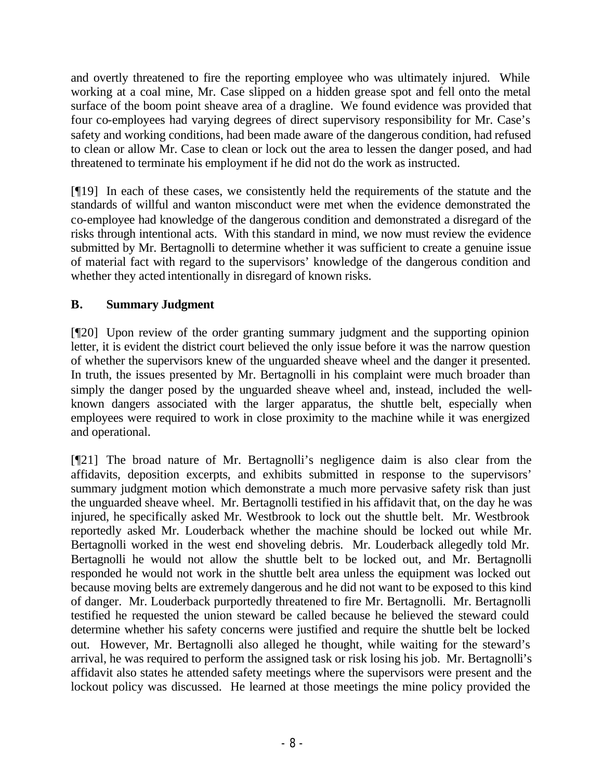and overtly threatened to fire the reporting employee who was ultimately injured. While working at a coal mine, Mr. Case slipped on a hidden grease spot and fell onto the metal surface of the boom point sheave area of a dragline. We found evidence was provided that four co-employees had varying degrees of direct supervisory responsibility for Mr. Case's safety and working conditions, had been made aware of the dangerous condition, had refused to clean or allow Mr. Case to clean or lock out the area to lessen the danger posed, and had threatened to terminate his employment if he did not do the work as instructed.

[¶19] In each of these cases, we consistently held the requirements of the statute and the standards of willful and wanton misconduct were met when the evidence demonstrated the co-employee had knowledge of the dangerous condition and demonstrated a disregard of the risks through intentional acts. With this standard in mind, we now must review the evidence submitted by Mr. Bertagnolli to determine whether it was sufficient to create a genuine issue of material fact with regard to the supervisors' knowledge of the dangerous condition and whether they acted intentionally in disregard of known risks.

# **B. Summary Judgment**

[¶20] Upon review of the order granting summary judgment and the supporting opinion letter, it is evident the district court believed the only issue before it was the narrow question of whether the supervisors knew of the unguarded sheave wheel and the danger it presented. In truth, the issues presented by Mr. Bertagnolli in his complaint were much broader than simply the danger posed by the unguarded sheave wheel and, instead, included the wellknown dangers associated with the larger apparatus, the shuttle belt, especially when employees were required to work in close proximity to the machine while it was energized and operational.

[¶21] The broad nature of Mr. Bertagnolli's negligence claim is also clear from the affidavits, deposition excerpts, and exhibits submitted in response to the supervisors' summary judgment motion which demonstrate a much more pervasive safety risk than just the unguarded sheave wheel. Mr. Bertagnolli testified in his affidavit that, on the day he was injured, he specifically asked Mr. Westbrook to lock out the shuttle belt. Mr. Westbrook reportedly asked Mr. Louderback whether the machine should be locked out while Mr. Bertagnolli worked in the west end shoveling debris. Mr. Louderback allegedly told Mr. Bertagnolli he would not allow the shuttle belt to be locked out, and Mr. Bertagnolli responded he would not work in the shuttle belt area unless the equipment was locked out because moving belts are extremely dangerous and he did not want to be exposed to this kind of danger. Mr. Louderback purportedly threatened to fire Mr. Bertagnolli. Mr. Bertagnolli testified he requested the union steward be called because he believed the steward could determine whether his safety concerns were justified and require the shuttle belt be locked out. However, Mr. Bertagnolli also alleged he thought, while waiting for the steward's arrival, he was required to perform the assigned task or risk losing his job. Mr. Bertagnolli's affidavit also states he attended safety meetings where the supervisors were present and the lockout policy was discussed. He learned at those meetings the mine policy provided the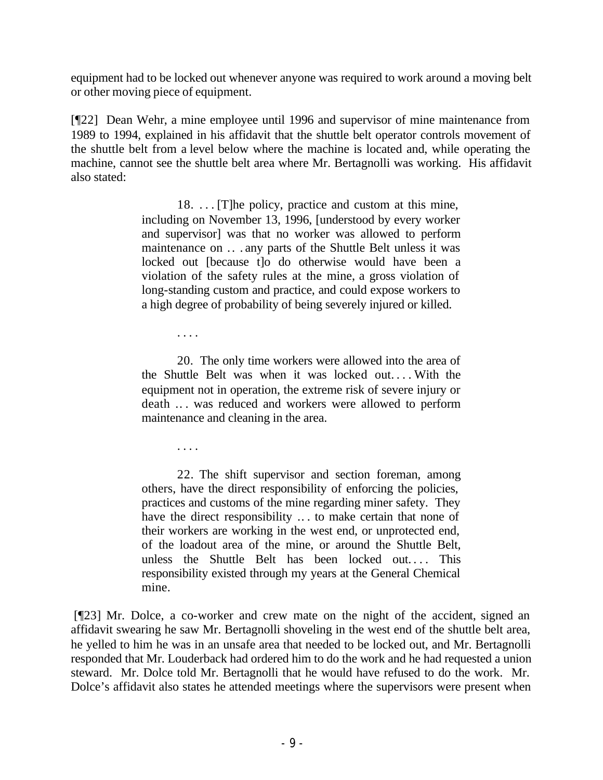equipment had to be locked out whenever anyone was required to work around a moving belt or other moving piece of equipment.

[¶22] Dean Wehr, a mine employee until 1996 and supervisor of mine maintenance from 1989 to 1994, explained in his affidavit that the shuttle belt operator controls movement of the shuttle belt from a level below where the machine is located and, while operating the machine, cannot see the shuttle belt area where Mr. Bertagnolli was working. His affidavit also stated:

> 18. . . . [T]he policy, practice and custom at this mine, including on November 13, 1996, [understood by every worker and supervisor] was that no worker was allowed to perform maintenance on .. . any parts of the Shuttle Belt unless it was locked out [because t]o do otherwise would have been a violation of the safety rules at the mine, a gross violation of long-standing custom and practice, and could expose workers to a high degree of probability of being severely injured or killed.

> > . . . .

20. The only time workers were allowed into the area of the Shuttle Belt was when it was locked out. . . . With the equipment not in operation, the extreme risk of severe injury or death .. . was reduced and workers were allowed to perform maintenance and cleaning in the area.

. . . .

22. The shift supervisor and section foreman, among others, have the direct responsibility of enforcing the policies, practices and customs of the mine regarding miner safety. They have the direct responsibility ... to make certain that none of their workers are working in the west end, or unprotected end, of the loadout area of the mine, or around the Shuttle Belt, unless the Shuttle Belt has been locked out.... This responsibility existed through my years at the General Chemical mine.

 [¶23] Mr. Dolce, a co-worker and crew mate on the night of the accident, signed an affidavit swearing he saw Mr. Bertagnolli shoveling in the west end of the shuttle belt area, he yelled to him he was in an unsafe area that needed to be locked out, and Mr. Bertagnolli responded that Mr. Louderback had ordered him to do the work and he had requested a union steward. Mr. Dolce told Mr. Bertagnolli that he would have refused to do the work. Mr. Dolce's affidavit also states he attended meetings where the supervisors were present when